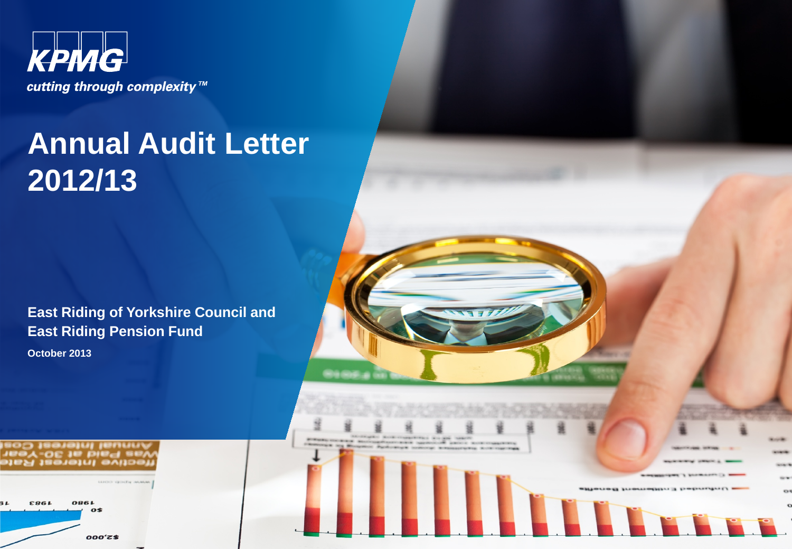

# **Annual Audit Letter 2012/13**

**East Riding of Yorkshire Council and East Riding Pension Fund**

**October 2013**



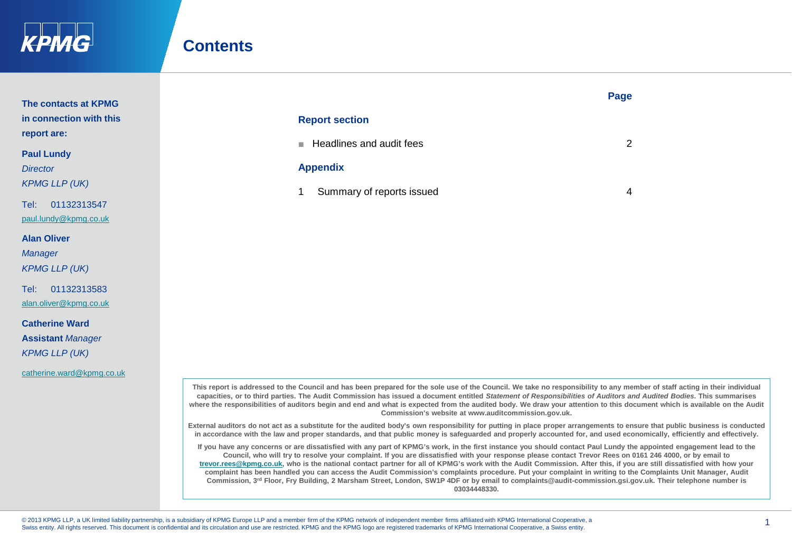

## **Contents**

|                         |                                                                                                                                                                                                                                                                  | Page |
|-------------------------|------------------------------------------------------------------------------------------------------------------------------------------------------------------------------------------------------------------------------------------------------------------|------|
| The contacts at KPMG    |                                                                                                                                                                                                                                                                  |      |
| in connection with this | <b>Report section</b>                                                                                                                                                                                                                                            |      |
| report are:             |                                                                                                                                                                                                                                                                  |      |
| <b>Paul Lundy</b>       | Headlines and audit fees<br><b>The Contract of the Contract of the Contract of the Contract of the Contract of the Contract of the Contract of the Contract of the Contract of the Contract of the Contract of the Contract of the Contract of the Contract </b> | 2    |
| <b>Director</b>         | <b>Appendix</b>                                                                                                                                                                                                                                                  |      |
| <b>KPMG LLP (UK)</b>    |                                                                                                                                                                                                                                                                  |      |
| Tel:<br>01132313547     | Summary of reports issued                                                                                                                                                                                                                                        | 4    |
| paul.lundy@kpmg.co.uk   |                                                                                                                                                                                                                                                                  |      |

**Alan Oliver**

*Manager*

*KPMG LLP (UK)*

Tel: 01132313583 [alan.oliver@kpmg.co.uk](mailto:alan.oliver@kpmg.co.uk)

**Catherine Ward Assistant** *Manager KPMG LLP (UK)*

[catherine.ward@kpmg.co.uk](mailto:catherine.ward@kpmg.co.uk)

**This report is addressed to the Council and has been prepared for the sole use of the Council. We take no responsibility to any member of staff acting in their individual capacities, or to third parties. The Audit Commission has issued a document entitled** *Statement of Responsibilities of Auditors and Audited Bodies***. This summarises**  where the responsibilities of auditors begin and end and what is expected from the audited body. We draw your attention to this document which is available on the Audit **Commission's website at www.auditcommission.gov.uk.**

**External auditors do not act as a substitute for the audited body's own responsibility for putting in place proper arrangements to ensure that public business is conducted in accordance with the law and proper standards, and that public money is safeguarded and properly accounted for, and used economically, efficiently and effectively.**

**If you have any concerns or are dissatisfied with any part of KPMG's work, in the first instance you should contact Paul Lundy the appointed engagement lead to the Council, who will try to resolve your complaint. If you are dissatisfied with your response please contact Trevor Rees on 0161 246 4000, or by email to [trevor.rees@kpmg.co.uk](mailto:trevor.rees@kpmg.co.uk), who is the national contact partner for all of KPMG's work with the Audit Commission. After this, if you are still dissatisfied with how your complaint has been handled you can access the Audit Commission's complaints procedure. Put your complaint in writing to the Complaints Unit Manager, Audit Commission, 3rd Floor, Fry Building, 2 Marsham Street, London, SW1P 4DF or by email to complaints@audit-commission.gsi.gov.uk. Their telephone number is 03034448330.**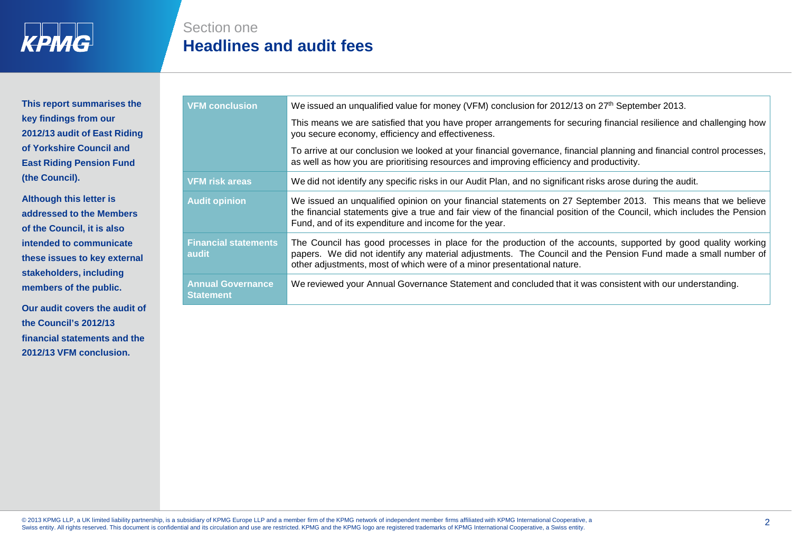

**This report summarises the key findings from our 2012/13 audit of East Riding of Yorkshire Council and East Riding Pension Fund (the Council).** 

**Although this letter is addressed to the Members of the Council, it is also intended to communicate these issues to key external stakeholders, including members of the public.** 

**Our audit covers the audit of the Council's 2012/13 financial statements and the 2012/13 VFM conclusion.**

| Section one |                                 |
|-------------|---------------------------------|
|             | <b>Headlines and audit fees</b> |

| <b>VFM conclusion</b>                        | We issued an unqualified value for money (VFM) conclusion for 2012/13 on 27 <sup>th</sup> September 2013.                                                                                                                                                                                                 |
|----------------------------------------------|-----------------------------------------------------------------------------------------------------------------------------------------------------------------------------------------------------------------------------------------------------------------------------------------------------------|
|                                              | This means we are satisfied that you have proper arrangements for securing financial resilience and challenging how<br>you secure economy, efficiency and effectiveness.                                                                                                                                  |
|                                              | To arrive at our conclusion we looked at your financial governance, financial planning and financial control processes,<br>as well as how you are prioritising resources and improving efficiency and productivity.                                                                                       |
| <b>VFM risk areas</b>                        | We did not identify any specific risks in our Audit Plan, and no significant risks arose during the audit.                                                                                                                                                                                                |
| <b>Audit opinion</b>                         | We issued an unqualified opinion on your financial statements on 27 September 2013. This means that we believe<br>the financial statements give a true and fair view of the financial position of the Council, which includes the Pension<br>Fund, and of its expenditure and income for the year.        |
| <b>Financial statements</b><br>audit         | The Council has good processes in place for the production of the accounts, supported by good quality working<br>papers. We did not identify any material adjustments. The Council and the Pension Fund made a small number of<br>other adjustments, most of which were of a minor presentational nature. |
| <b>Annual Governance</b><br><b>Statement</b> | We reviewed your Annual Governance Statement and concluded that it was consistent with our understanding.                                                                                                                                                                                                 |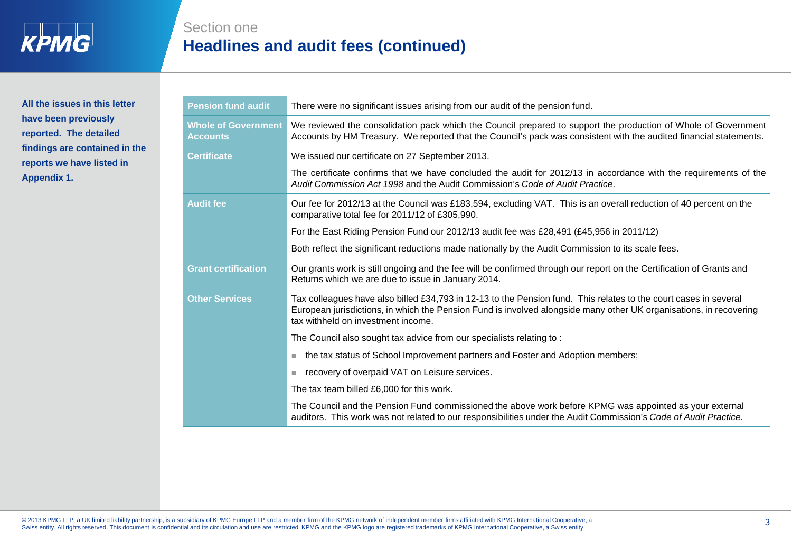

## **All the issues in this letter have been previously reported. The detailed findings are contained in the reports we have listed in Appendix 1.**

Section one

**Headlines and audit fees (continued)**

| <b>Pension fund audit</b>                     | There were no significant issues arising from our audit of the pension fund.                                                                                                                                                                                                 |
|-----------------------------------------------|------------------------------------------------------------------------------------------------------------------------------------------------------------------------------------------------------------------------------------------------------------------------------|
| <b>Whole of Government</b><br><b>Accounts</b> | We reviewed the consolidation pack which the Council prepared to support the production of Whole of Government<br>Accounts by HM Treasury. We reported that the Council's pack was consistent with the audited financial statements.                                         |
| <b>Certificate</b>                            | We issued our certificate on 27 September 2013.                                                                                                                                                                                                                              |
|                                               | The certificate confirms that we have concluded the audit for 2012/13 in accordance with the requirements of the<br>Audit Commission Act 1998 and the Audit Commission's Code of Audit Practice.                                                                             |
| <b>Audit fee</b>                              | Our fee for 2012/13 at the Council was £183,594, excluding VAT. This is an overall reduction of 40 percent on the<br>comparative total fee for 2011/12 of £305,990.                                                                                                          |
|                                               | For the East Riding Pension Fund our 2012/13 audit fee was £28,491 (£45,956 in 2011/12)                                                                                                                                                                                      |
|                                               | Both reflect the significant reductions made nationally by the Audit Commission to its scale fees.                                                                                                                                                                           |
| <b>Grant certification</b>                    | Our grants work is still ongoing and the fee will be confirmed through our report on the Certification of Grants and<br>Returns which we are due to issue in January 2014.                                                                                                   |
| <b>Other Services</b>                         | Tax colleagues have also billed £34,793 in 12-13 to the Pension fund. This relates to the court cases in several<br>European jurisdictions, in which the Pension Fund is involved alongside many other UK organisations, in recovering<br>tax withheld on investment income. |
|                                               | The Council also sought tax advice from our specialists relating to:                                                                                                                                                                                                         |
|                                               | the tax status of School Improvement partners and Foster and Adoption members;<br>ш                                                                                                                                                                                          |
|                                               | recovery of overpaid VAT on Leisure services.<br>ш                                                                                                                                                                                                                           |
|                                               | The tax team billed £6,000 for this work.                                                                                                                                                                                                                                    |
|                                               | The Council and the Pension Fund commissioned the above work before KPMG was appointed as your external<br>auditors. This work was not related to our responsibilities under the Audit Commission's Code of Audit Practice.                                                  |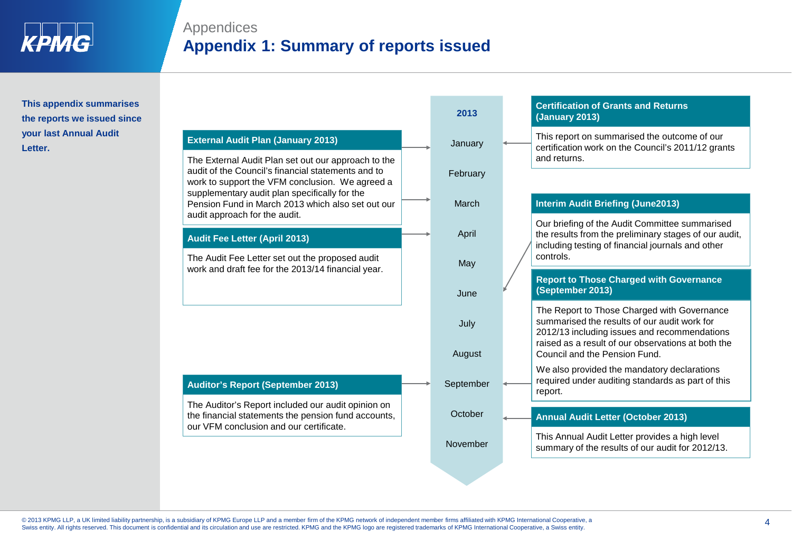

# Appendices **Appendix 1: Summary of reports issued**

### **This appendix summarises the reports we issued since your last Annual Audit Letter.**

### **External Audit Plan (January 2013)**

The External Audit Plan set out our approach to the audit of the Council's financial statements and to work to support the VFM conclusion. We agreed a supplementary audit plan specifically for the Pension Fund in March 2013 which also set out our audit approach for the audit.

#### **Audit Fee Letter (April 2013)**

The Audit Fee Letter set out the proposed audit work and draft fee for the 2013/14 financial year.

#### **Auditor's Report (September 2013)**

The Auditor's Report included our audit opinion on the financial statements the pension fund accounts, our VFM conclusion and our certificate.

| 2013      | <b>(January 2013)</b>                                                                                                                                                                             |
|-----------|---------------------------------------------------------------------------------------------------------------------------------------------------------------------------------------------------|
| January   | This report on summarised the outcome of our<br>certification work on the Council's 2011/12 grants<br>and returns.                                                                                |
| February  |                                                                                                                                                                                                   |
| March     | <b>Interim Audit Briefing (June2013)</b>                                                                                                                                                          |
| April     | Our briefing of the Audit Committee summarised<br>the results from the preliminary stages of our audit,<br>including testing of financial journals and other<br>controls.                         |
| May       |                                                                                                                                                                                                   |
| June      | <b>Report to Those Charged with Governance</b><br>(September 2013)                                                                                                                                |
| July      | The Report to Those Charged with Governance<br>summarised the results of our audit work for<br>2012/13 including issues and recommendations<br>raised as a result of our observations at both the |
| August    | Council and the Pension Fund.                                                                                                                                                                     |
| September | We also provided the mandatory declarations<br>required under auditing standards as part of this<br>report.                                                                                       |
| October   | <b>Annual Audit Letter (October 2013)</b>                                                                                                                                                         |
|           |                                                                                                                                                                                                   |
| November  | This Annual Audit Letter provides a high level<br>summary of the results of our audit for 2012/13.                                                                                                |

**Certification of Grants and Returns** 

**2013**